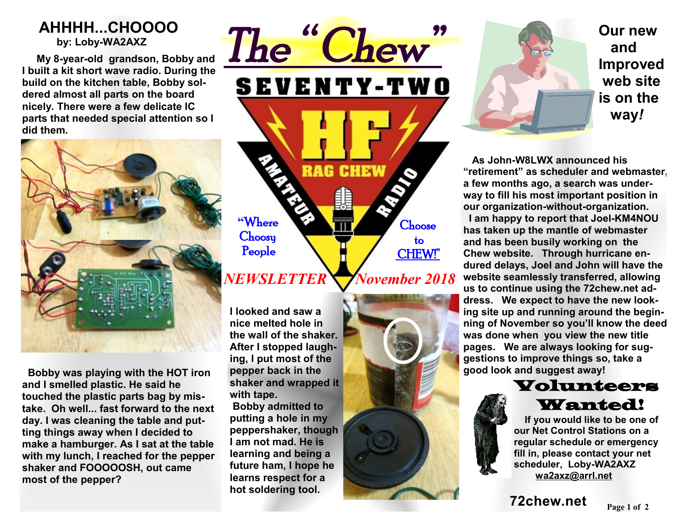### **AHHHH...CHOOOO by: Loby-WA2AXZ**

 **My 8-year-old grandson, Bobby and I built a kit short wave radio. During the build on the kitchen table, Bobby soldered almost all parts on the board nicely. There were a few delicate IC parts that needed special attention so I did them.** 



 **Bobby was playing with the HOT iron and I smelled plastic. He said he touched the plastic parts bag by mistake. Oh well... fast forward to the next day. I was cleaning the table and putting things away when I decided to make a hamburger. As I sat at the table with my lunch, I reached for the pepper shaker and FOOOOOSH, out came most of the pepper?** 

## *The " Chew"*  **SEVENTY-TWO RAG CHEW "**Where Choose **Choosy**  to People CHEW!" *NEWSLETTER* *November 2018*

**I looked and saw a nice melted hole in the wall of the shaker. After I stopped laughing, I put most of the pepper back in the shaker and wrapped it with tape. Bobby admitted to putting a hole in my peppershaker, though I am not mad. He is learning and being a future ham, I hope he learns respect for a hot soldering tool.** 



**Our new and Improved web site is on the way***!*

 **As John-W8LWX announced his "retirement" as scheduler and webmaster, a few months ago, a search was underway to fill his most important position in our organization-without-organization. I am happy to report that Joel-KM4NOU has taken up the mantle of webmaster and has been busily working on the Chew website. Through hurricane endured delays, Joel and John will have the website seamlessly transferred, allowing us to continue using the 72chew.net address. We expect to have the new looking site up and running around the beginning of November so you'll know the deed was done when you view the new title pages. We are always looking for suggestions to improve things so, take a good look and suggest away!** 



 **If you would like to be one of our Net Control Stations on a regular schedule or emergency fill in, please contact your net scheduler, Loby-WA2AXZ wa2axz@arrl.net**

**Page <sup>1</sup> of 2 72chew.net**